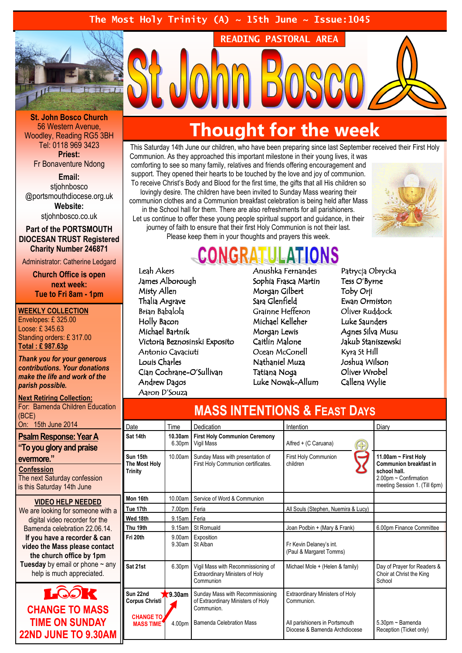### The Most Holy Trinity (A)  $\sim$  15th June  $\sim$  Issue:1045



St. John Bosco Church 56 Western Avenue, Woodley, Reading RG5 3BH Tel: 0118 969 3423 Priest:

Fr Bonaventure Ndong

Email: stiohnbosco @portsmouthdiocese.org.uk Website:

stjohnbosco.co.uk

#### Part of the PORTSMOUTH DIOCESAN TRUST Registered Charity Number 246871

Administrator: Catherine Ledgard

Church Office is open next week: Tue to Fri 8am - 1pm

#### WEEKLY COLLECTION

Envelopes: £ 325.00 Loose: £ 345.63 Standing orders: £ 317.00 Total : £ 987.63p

Thank you for your generous contributions. Your donations make the life and work of the parish possible.

#### Next Retiring Collection: For: Bamenda Children Education (BCE) On: 15th June 2014

Psalm Response: Year A "To you glory and praise evermore." **Confession** 

The next Saturday confession is this Saturday 14th June

#### VIDEO HELP NEEDED We are looking for someone with a

digital video recorder for the Bamenda celebration 22.06.14. If you have a recorder & can video the Mass please contact the church office by 1pm **Tuesday** by email or phone  $\sim$  any help is much appreciated.



## Thought for the week

READING PASTORAL AREA

This Saturday 14th June our children, who have been preparing since last September received their First Holy Communion. As they approached this important milestone in their young lives, it was comforting to see so many family, relatives and friends offering encouragement and support. They opened their hearts to be touched by the love and joy of communion. To receive Christ's Body and Blood for the first time, the gifts that all His children so lovingly desire. The children have been invited to Sunday Mass wearing their communion clothes and a Communion breakfast celebration is being held after Mass in the School hall for them. There are also refreshments for all parishioners. Let us continue to offer these young people spiritual support and guidance, in their journey of faith to ensure that their first Holy Communion is not their last. Please keep them in your thoughts and prayers this week.



## **CONGRATU**

Leah Akers James Alborough Misty Allen Thalia Argrave Brian Babalola Holly Bacon Michael Bartnik Victoria Beznosinski Exposito Antonio Cavaciuti Louis Charles Cian Cochrane-O'Sullivan Andrew Dagos Aaron D'Souza

Anushka Fernandes Sophia Frasca Martin Morgan Gilbert Sara Glenfield Grainne Hefferon Michael Kelleher Morgan Lewis Caitlin Malone Ocean McConell Nathaniel Muza Tatiana Noga Luke Nowak-Allum Patrycja Obrycka Tess O'Byrne Toby Orji Ewan Ormiston Oliver Ruddock Luke Saunders Agnes Silva Musu Jakub Staniszewski Kyra St Hill Joshua Wilson Oliver Wrobel Callena Wylie

| <b>MASS INTENTIONS &amp; FEAST DAYS</b>     |                   |                                                                                           |                                                                 |                                                                                                                                 |
|---------------------------------------------|-------------------|-------------------------------------------------------------------------------------------|-----------------------------------------------------------------|---------------------------------------------------------------------------------------------------------------------------------|
| Date                                        | Time              | Dedication                                                                                | Intention                                                       | Diary                                                                                                                           |
| Sat 14th                                    | 10.30am<br>6.30pm | <b>First Holy Communion Ceremony</b><br>Vigil Mass                                        | Alfred + (C Caruana)<br>G)                                      |                                                                                                                                 |
| Sun 15th<br>The Most Holy<br><b>Trinity</b> | 10.00am           | Sunday Mass with presentation of<br>First Holy Communion certificates.                    | First Holy Communion<br>children                                | 11.00am ~ First Holy<br><b>Communion breakfast in</b><br>school hall.<br>2.00pm ~ Confirmation<br>meeting Session 1. (Till 6pm) |
| Mon 16th                                    | 10.00am           | Service of Word & Communion                                                               |                                                                 |                                                                                                                                 |
| Tue 17th                                    | 7.00pm Feria      |                                                                                           | All Souls (Stephen, Nuemira & Lucy)                             |                                                                                                                                 |
| Wed 18th                                    | 9.15am Feria      |                                                                                           |                                                                 |                                                                                                                                 |
| Thu 19th                                    | 9.15am            | <b>St Romuald</b>                                                                         | Joan Podbin + (Mary & Frank)                                    | 6.00pm Finance Committee                                                                                                        |
| Fri 20th                                    | 9.00am<br>9.30am  | Exposition<br>St Alban                                                                    | Fr Kevin Delaney's int.<br>(Paul & Margaret Tomms)              |                                                                                                                                 |
| Sat 21st                                    | 6.30pm            | Vigil Mass with Recommissioning of<br><b>Extraordinary Ministers of Holy</b><br>Communion | Michael Mole + (Helen & family)                                 | Day of Prayer for Readers &<br>Choir at Christ the King<br>School                                                               |
| Sun 22nd<br>Corpus Christi                  | $\sqrt{9.30}$ am  | Sunday Mass with Recommissioning<br>of Extraordinary Ministers of Holy<br>Communion.      | <b>Extraordinary Ministers of Holy</b><br>Communion.            |                                                                                                                                 |
| <b>CHANGE TO</b><br><b>MASS TIME</b>        | 4.00pm            | <b>Bamenda Celebration Mass</b>                                                           | All parishioners in Portsmouth<br>Diocese & Bamenda Archdiocese | 5.30pm ~ Bamenda<br>Reception (Ticket only)                                                                                     |